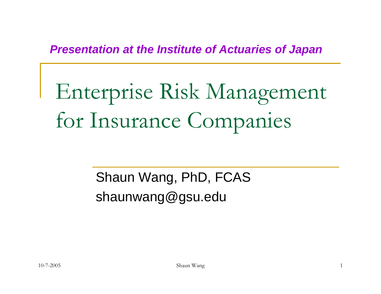#### *Presentation at the Institute of Actuaries of Japan*

# Enterprise Risk Management for Insurance Companies

Shaun Wang, PhD, FCAS shaunwang@gsu.edu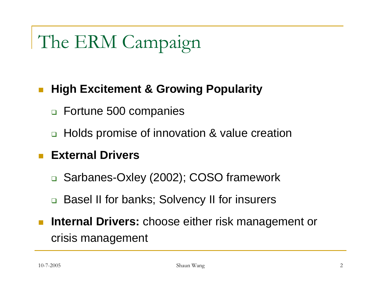# The ERM Campaign

#### **High Excitement & Growing Popularity**

- Fortune 500 companies
- Holds promise of innovation & value creation

#### **External Drivers**

- Sarbanes-Oxley (2002); COSO framework
- □ Basel II for banks; Solvency II for insurers
- $\mathbb{R}^3$  **Internal Drivers:** choose either risk management or crisis management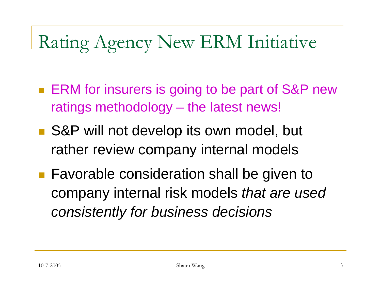# Rating Agency New ERM Initiative

- **ERM** for insurers is going to be part of S&P new ratings methodology – the latest news!
- S&P will not develop its own model, but rather review company internal models
- Favorable consideration shall be given to company internal risk models *that are used consistently for business decisions*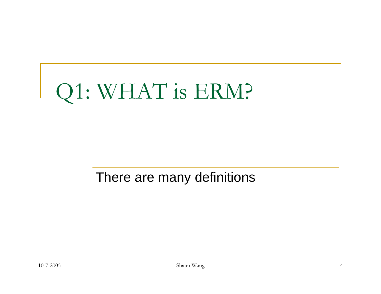# Q1: WHAT is ERM?

#### There are many definitions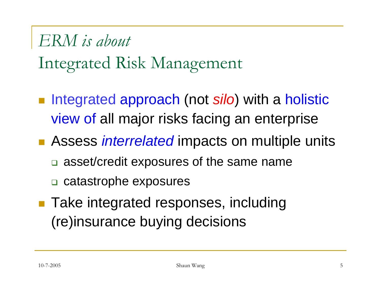# *ERM is about* Integrated Risk Management

- **Integrated approach (not** *silo***)** with a holistic view of all major risks facing an enterprise
- Assess *interrelated* impacts on multiple units
	- a asset/credit exposures of the same name
	- □ catastrophe exposures
- Take integrated responses, including (re)insurance buying decisions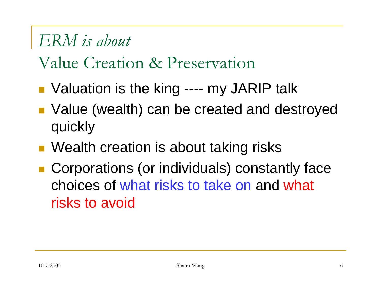#### *ERM is about*

## Value Creation & Preservation

- ■ Valuation is the king ---- my JARIP talk
- Value (wealth) can be created and destroyed quickly
- Wealth creation is about taking risks
- Corporations (or individuals) constantly face choices of what risks to take on and what risks to avoid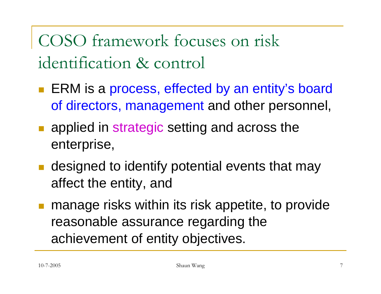COSO framework focuses on risk identification & control

- ERM is a process, effected by an entity's board of directors, management and other personnel,
- **a** applied in strategic setting and across the enterprise,
- **Example 3 random or designed to identify potential events that may** affect the entity, and
- manage risks within its risk appetite, to provide reasonable assurance regarding the achievement of entity objectives.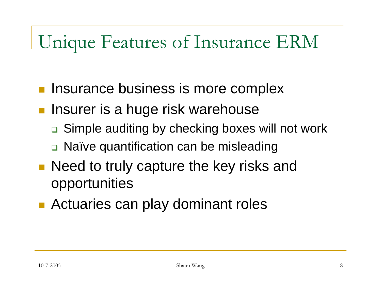# Unique Features of Insurance ERM

- Insurance business is more complex
- **Insurer is a huge risk warehouse** 
	- □ Simple auditing by checking boxes will not work
	- □ Naïve quantification can be misleading
- **Need to truly capture the key risks and I** opportunities
- **Actuaries can play dominant roles**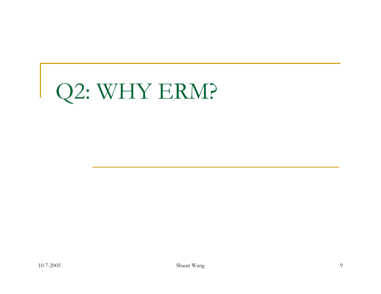# Q2: WHY ERM?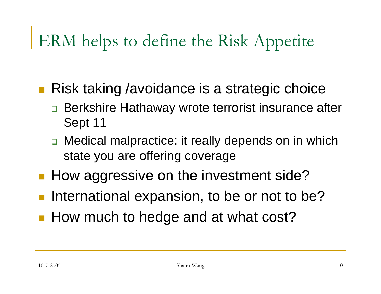## ERM helps to define the Risk Appetite

- Risk taking /avoidance is a strategic choice
	- □ Berkshire Hathaway wrote terrorist insurance after Sept 11
	- □ Medical malpractice: it really depends on in which state you are offering coverage
- **How aggressive on the investment side?**
- **Service Service** International expansion, to be or not to be?
- **How much to hedge and at what cost?**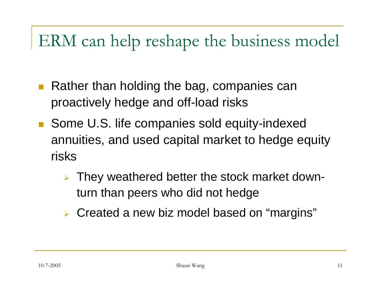## ERM can help reshape the business model

- Rather than holding the bag, companies can proactively hedge and off-load risks
- Some U.S. life companies sold equity-indexed annuities, and used capital market to hedge equity risks
	- ¾ They weathered better the stock market downturn than peers who did not hedge
	- ¾ Created a new biz model based on "margins"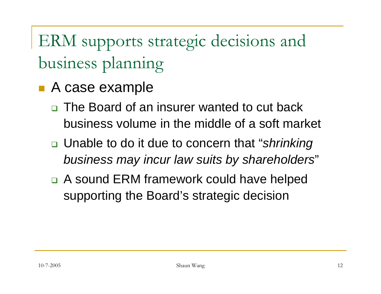ERM supports strategic decisions and business planning

- A case example
	- □ The Board of an insurer wanted to cut back business volume in the middle of a soft market
	- Unable to do it due to concern that "*shrinking business may incur law suits by shareholders*"
	- □ A sound ERM framework could have helped supporting the Board's strategic decision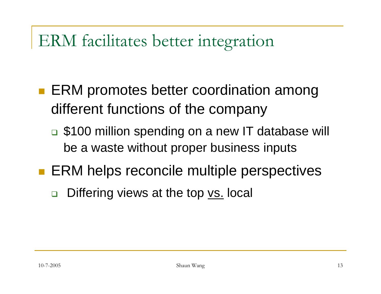### ERM facilitates better integration

- ERM promotes better coordination among different functions of the company
	- □ \$100 million spending on a new IT database will be a waste without proper business inputs
- **ERM helps reconcile multiple perspectives** 
	- $\Box$ Differing views at the top vs. local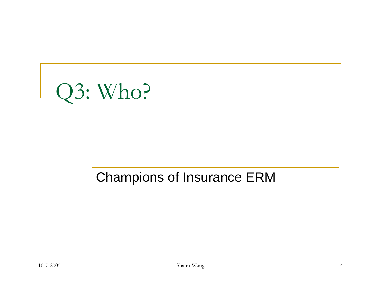

#### Champions of Insurance ERM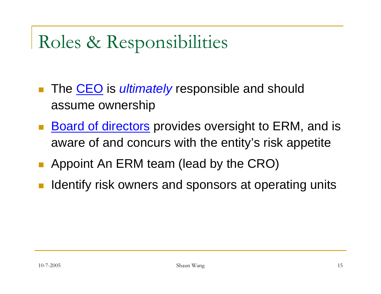# Roles & Responsibilities

- The CEO is *ultimately* responsible and should assume ownership
- **Board of directors** provides oversight to ERM, and is aware of and concurs with the entity's risk appetite
- p. Appoint An ERM team (lead by the CRO)
- Identify risk owners and sponsors at operating units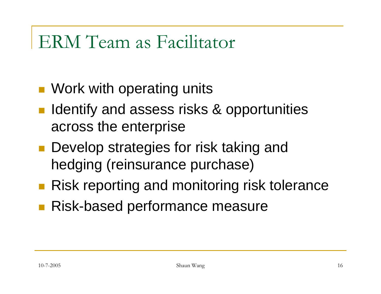## ERM Team as Facilitator

- **Nork with operating units**
- Identify and assess risks & opportunities across the enterprise
- **Develop strategies for risk taking and** hedging (reinsurance purchase)
- **Risk reporting and monitoring risk tolerance**
- **Risk-based performance measure**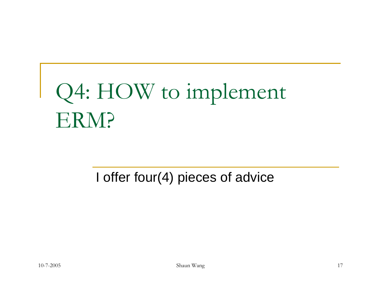# Q4: HOW to implement ERM?

#### I offer four(4) pieces of advice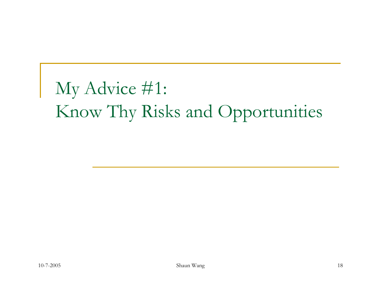# My Advice #1: Know Thy Risks and Opportunities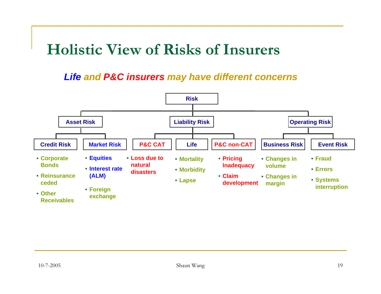#### **Holistic View of Risks of Insurers**

*Life and P&C insurers may have different concerns*

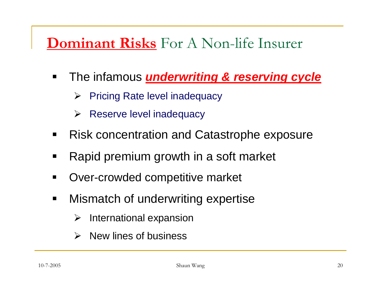#### **Dominant Risks** For A Non-life Insurer

- $\blacksquare$  The infamous *underwriting & reserving cycle*
	- ¾ Pricing Rate level inadequacy
	- $\blacktriangleright$ Reserve level inadequacy
- $\blacksquare$ Risk concentration and Catastrophe exposure
- $\blacksquare$ Rapid premium growth in a soft market
- $\blacksquare$ Over-crowded competitive market
- $\blacksquare$  Mismatch of underwriting expertise
	- ¾International expansion
	- ¾New lines of business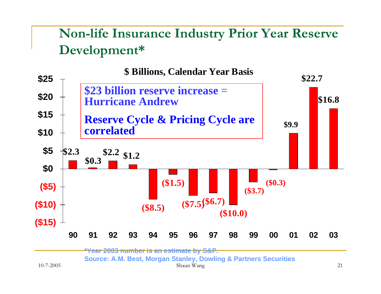#### **Non-life Insurance Industry Prior Year Reserve Development\***



Shaun Wang <sup>21</sup>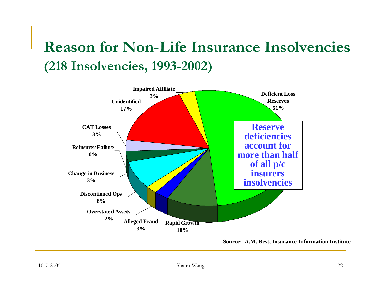#### **Reason for Non-Life Insurance Insolvencies(218 Insolvencies, 1993-2002)**



**Source: A.M. Best, Insurance Information Institute**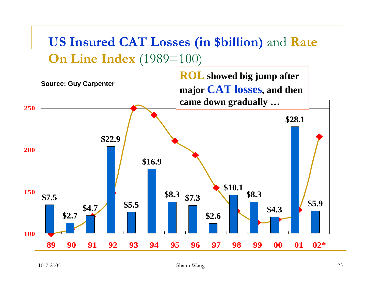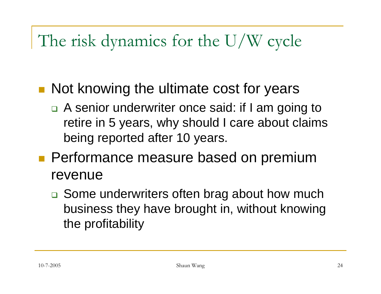### The risk dynamics for the U/W cycle

- **Not knowing the ultimate cost for years** 
	- □ A senior underwriter once said: if I am going to retire in 5 years, why should I care about claims being reported after 10 years.
- **Performance measure based on premium** revenue
	- □ Some underwriters often brag about how much business they have brought in, without knowing the profitability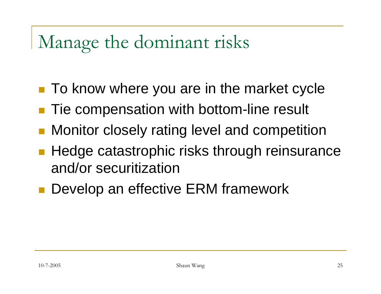# Manage the dominant risks

- To know where you are in the market cycle
- Tie compensation with bottom-line result
- Monitor closely rating level and competition
- **Hedge catastrophic risks through reinsurance** and/or securitization
- **Service Service** Develop an effective ERM framework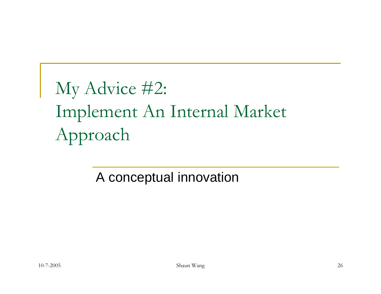# My Advice #2: Implement An Internal Market Approach

A conceptual innovation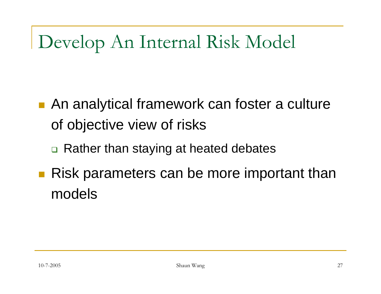# Develop An Internal Risk Model

- An analytical framework can foster a culture of objective view of risks
	- □ Rather than staying at heated debates
- **Risk parameters can be more important than** models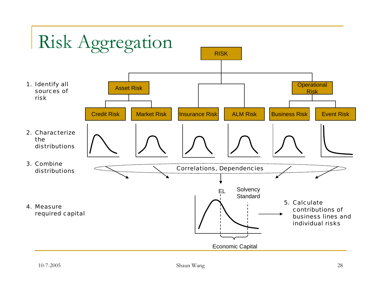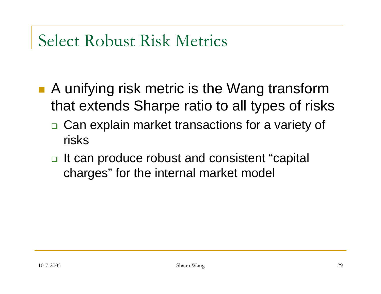#### Select Robust Risk Metrics

- A unifying risk metric is the Wang transform that extends Sharpe ratio to all types of risks
	- □ Can explain market transactions for a variety of risks
	- □ It can produce robust and consistent "capital charges" for the internal market model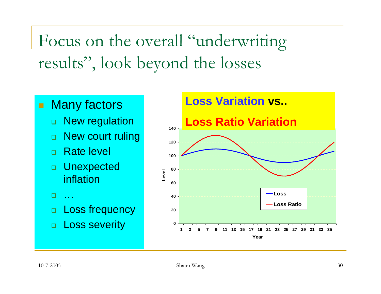Focus on the overall "underwriting results", look beyond the losses

- ٠ **Many factors** 
	- □ New regulation
	- $\Box$ New court ruling
	- $\Box$ Rate level
	- □ Unexpected inflation
	- $\Box$ …
	- $\Box$ Loss frequency
	- □ Loss severity

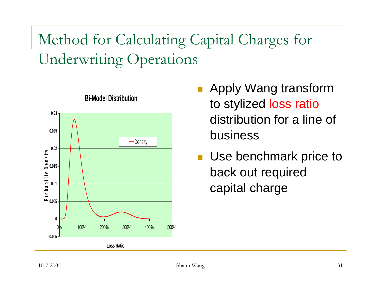### Method for Calculating Capital Charges for Underwriting Operations



#### **Bi-Model Distribution**

- **Apply Wang transform** to stylized loss ratio distribution for a line of business
- **Use benchmark price to** back out required capital charge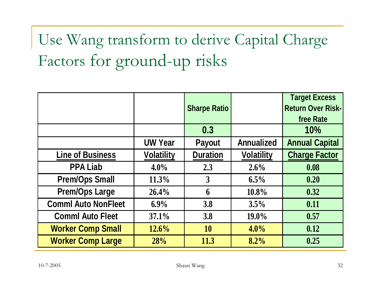# Use Wang transform to derive Capital Charge Factors for ground-up risks

|                            |                   | <b>Sharpe Ratio</b> |                   | <b>Target Excess</b><br><b>Return Over Risk-</b><br>free Rate |
|----------------------------|-------------------|---------------------|-------------------|---------------------------------------------------------------|
|                            |                   | 0.3                 |                   | 10%                                                           |
|                            | <b>UW Year</b>    | <b>Payout</b>       | <b>Annualized</b> | <b>Annual Capital</b>                                         |
| <b>Line of Business</b>    | <b>Volatility</b> | <b>Duration</b>     | <b>Volatility</b> | <b>Charge Factor</b>                                          |
| <b>PPA Liab</b>            | $4.0\%$           | 2.3                 | $2.6\%$           | 0.08                                                          |
| <b>Prem/Ops Small</b>      | 11.3%             | $\overline{3}$      | $6.5\%$           | 0.20                                                          |
| <b>Prem/Ops Large</b>      | 26.4%             | 6                   | $10.8\%$          | 0.32                                                          |
| <b>Comml Auto NonFleet</b> | $6.9\%$           | 3.8                 | 3.5%              | 0.11                                                          |
| <b>Comml Auto Fleet</b>    | 37.1%             | 3.8                 | $19.0\%$          | 0.57                                                          |
| <b>Worker Comp Small</b>   | 12.6%             | 10                  | 4.0%              | 0.12                                                          |
| <b>Worker Comp Large</b>   | 28%               | 11.3                | 8.2%              | 0.25                                                          |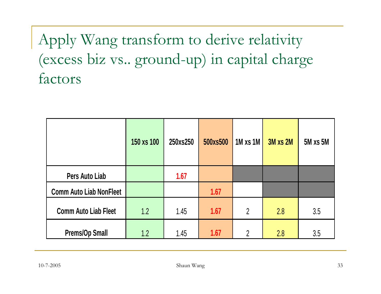### Apply Wang transform to derive relativity (excess biz vs.. ground-up) in capital charge factors

|                                | 150 xs 100 | 250xs250 | 500xs500 | 1M xs 1M       | 3M xs 2M | <b>5M xs 5M</b> |
|--------------------------------|------------|----------|----------|----------------|----------|-----------------|
| Pers Auto Liab                 |            | 1.67     |          |                |          |                 |
| <b>Comm Auto Liab NonFleet</b> |            |          | 1.67     |                |          |                 |
| <b>Comm Auto Liab Fleet</b>    | 1.2        | 1.45     | 1.67     | $\overline{2}$ | 2.8      | 3.5             |
| <b>Prems/Op Small</b>          | 1.2        | 1.45     | 1.67     | $\overline{2}$ | 2.8      | 3.5             |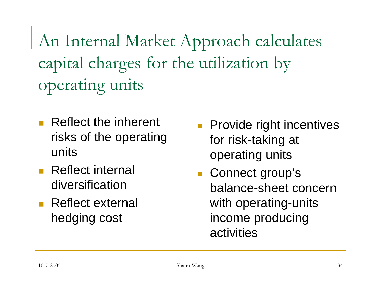An Internal Market Approach calculates capital charges for the utilization by operating units

- Reflect the inherent risks of the operating units
- **Reflect internal** diversification
- **Reflect external** hedging cost
- **Provide right incentives** for risk-taking at operating units
- Connect group's balance-sheet concern with operating-units income producing activities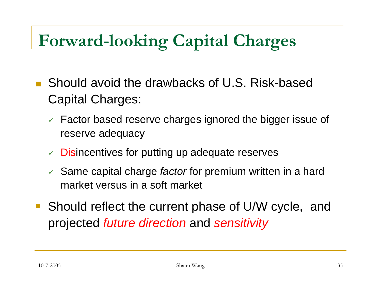## **Forward-looking Capital Charges**

- Should avoid the drawbacks of U.S. Risk-based Capital Charges:
	- $\checkmark$  Factor based reserve charges ignored the bigger issue of reserve adequacy
	- $\vee$  Disincentives for putting up adequate reserves
	- 9 Same capital charge *factor* for premium written in a hard market versus in a soft market
- Should reflect the current phase of U/W cycle, and projected *future direction* and *sensitivity*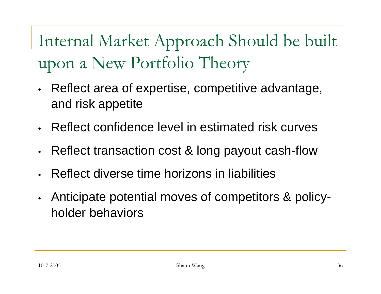Internal Market Approach Should be built upon a New Portfolio Theory

- • Reflect area of expertise, competitive advantage, and risk appetite
- Reflect confidence level in estimated risk curves
- $\bullet$ Reflect transaction cost & long payout cash-flow
- •Reflect diverse time horizons in liabilities
- • Anticipate potential moves of competitors & policyholder behaviors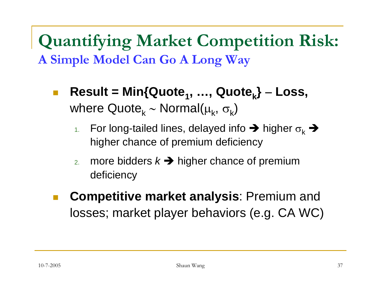**Quantifying Market Competition Risk: A Simple Model Can Go A Long Way**

- $\mathcal{C}^{\mathcal{A}}$  $Result = Min{Quote<sub>1</sub>, ..., Quote<sub>k</sub>} - Loss,$ where Quote $_{\mathsf{k}}$  ∼ Normal( $\mu_{\mathsf{k}},\,\sigma_{\mathsf{k}}$ )
	- 1.For long-tailed lines, delayed info  $\rightarrow$  higher  $\sigma_{\rm k}$   $\rightarrow$ higher chance of premium deficiency
	- 2.more bidders  $k \rightarrow$  higher chance of premium deficiency
- $\mathbb{R}^n$  **Competitive market analysis**: Premium and losses; market player behaviors (e.g. CA WC)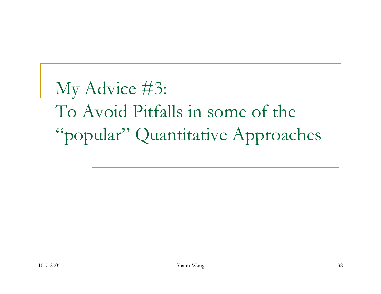My Advice #3: To Avoid Pitfalls in some of the "popular" Quantitative Approaches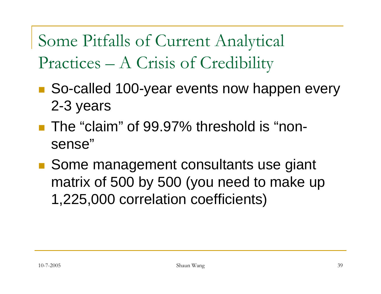Some Pitfalls of Current Analytical Practices – A Crisis of Credibility

- So-called 100-year events now happen every 2-3 years
- The "claim" of 99.97% threshold is "nonsense"
- Some management consultants use giant matrix of 500 by 500 (you need to make up 1,225,000 correlation coefficients)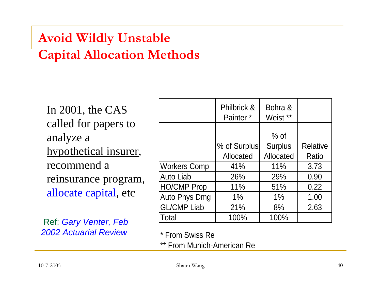#### **Avoid Wildly Unstable Capital Allocation Methods**

In 2001, the CAS called for papers to analyze a hypothetical insurer, recommend a reinsurance program, allocate capital, etc

Ref: *Gary Venter, Feb 2002 Actuarial Review*

|                     | Philbrick &<br>Painter <sup>*</sup> | Bohra &<br>Weist ** |                 |
|---------------------|-------------------------------------|---------------------|-----------------|
|                     |                                     | $%$ of              |                 |
|                     | % of Surplus                        | <b>Surplus</b>      | <b>Relative</b> |
|                     | Allocated                           | Allocated           | Ratio           |
| <b>Workers Comp</b> | 41%                                 | 11%                 | 3.73            |
| Auto Liab           | 26%                                 | 29%                 | 0.90            |
| <b>HO/CMP Prop</b>  | 11%                                 | 51%                 | 0.22            |
| Auto Phys Dmg       | $1\%$                               | $1\%$               | 1.00            |
| <b>GL/CMP Liab</b>  | 21%                                 | 8%                  | 2.63            |
| Total               | 100%                                | 100%                |                 |

\* From Swiss Re

\*\* From Munich-American Re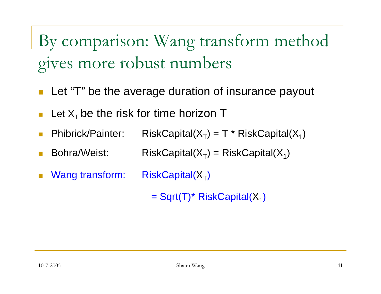By comparison: Wang transform method gives more robust numbers

- Let "T" be the average duration of insurance payout
- П Let  $X<sub>T</sub>$  be the risk for time horizon T
- $\Box$ Phibrick/Painter: RiskCapital( $X_T$ ) = T \* RiskCapital( $X_1$ )
- $\Box$ Bohra/Weist: RiskCapital( $X_T$ ) = RiskCapital( $X_1$ )
- $\Box$ Wang transform:  $RiskCapital(X_T)$

 $=$  Sqrt(T)<sup>\*</sup> RiskCapital(X<sub>1</sub>)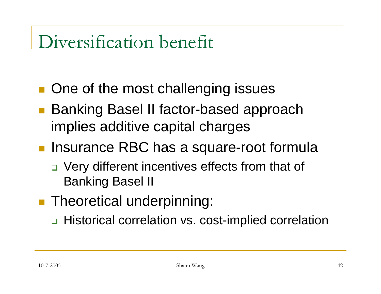## Diversification benefit

- ■ One of the most challenging issues
- Banking Basel II factor-based approach implies additive capital charges
- **Insurance RBC has a square-root formula** 
	- □ Very different incentives effects from that of Banking Basel II
- **Service Service Theoretical underpinning:** 
	- □ Historical correlation vs. cost-implied correlation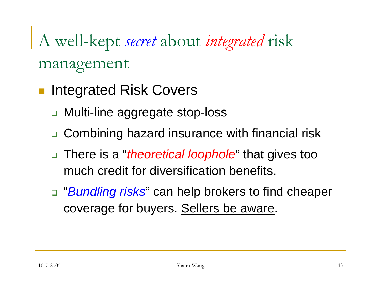A well-kept *secret* about *integrated* risk management

- Integrated Risk Covers
	- Multi-line aggregate stop-loss
	- □ Combining hazard insurance with financial risk
	- There is a "*theoretical loophole*" that gives too much credit for diversification benefits.
	- "*Bundling risks*" can help brokers to find cheaper coverage for buyers. Sellers be aware.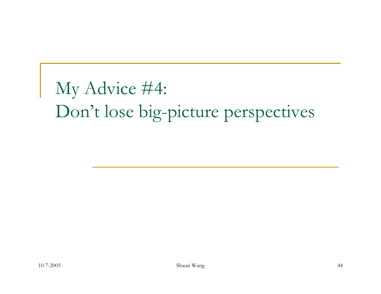# My Advice #4: Don't lose big-picture perspectives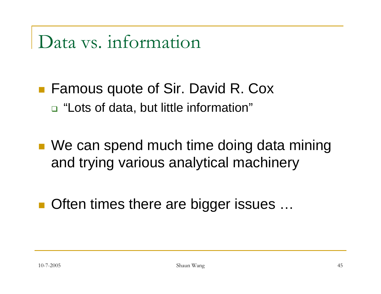## Data vs. information

- Famous quote of Sir. David R. Cox □ "Lots of data, but little information"
- We can spend much time doing data mining and trying various analytical machinery
- Often times there are bigger issues ...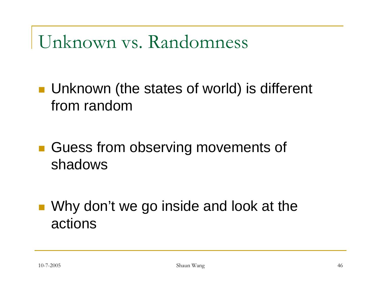# Unknown vs. Randomness

- **Unknown (the states of world) is different** from random
- **Guess from observing movements of** shadows
- **Service Service** ■ Why don't we go inside and look at the actions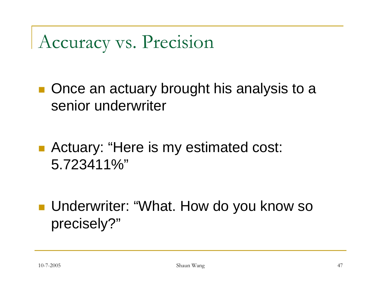# Accuracy vs. Precision

■ Once an actuary brought his analysis to a senior underwriter

■ Actuary: "Here is my estimated cost: 5.723411%"

■ Underwriter: "What. How do you know so precisely?"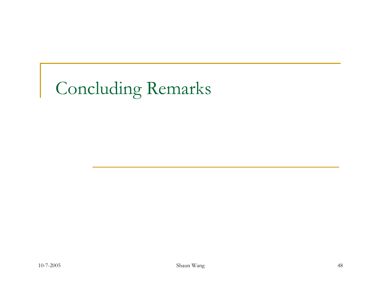# Concluding Remarks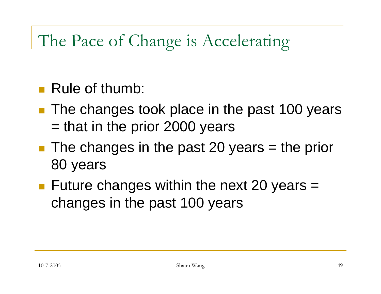## The Pace of Change is Accelerating

#### **Rule of thumb:**

- **The changes took place in the past 100 years** = that in the prior 2000 years
- $\blacksquare$  The changes in the past 20 years = the prior 80 years
- **F** Future changes within the next 20 years  $=$ changes in the past 100 years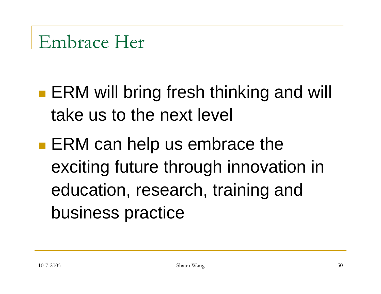- pa.<br>Kabupatèn **ERM will bring fresh thinking and will** take us to the next level
- ia<br>Ma **ERM can help us embrace the** exciting future through innovation in education, research, training and business practice